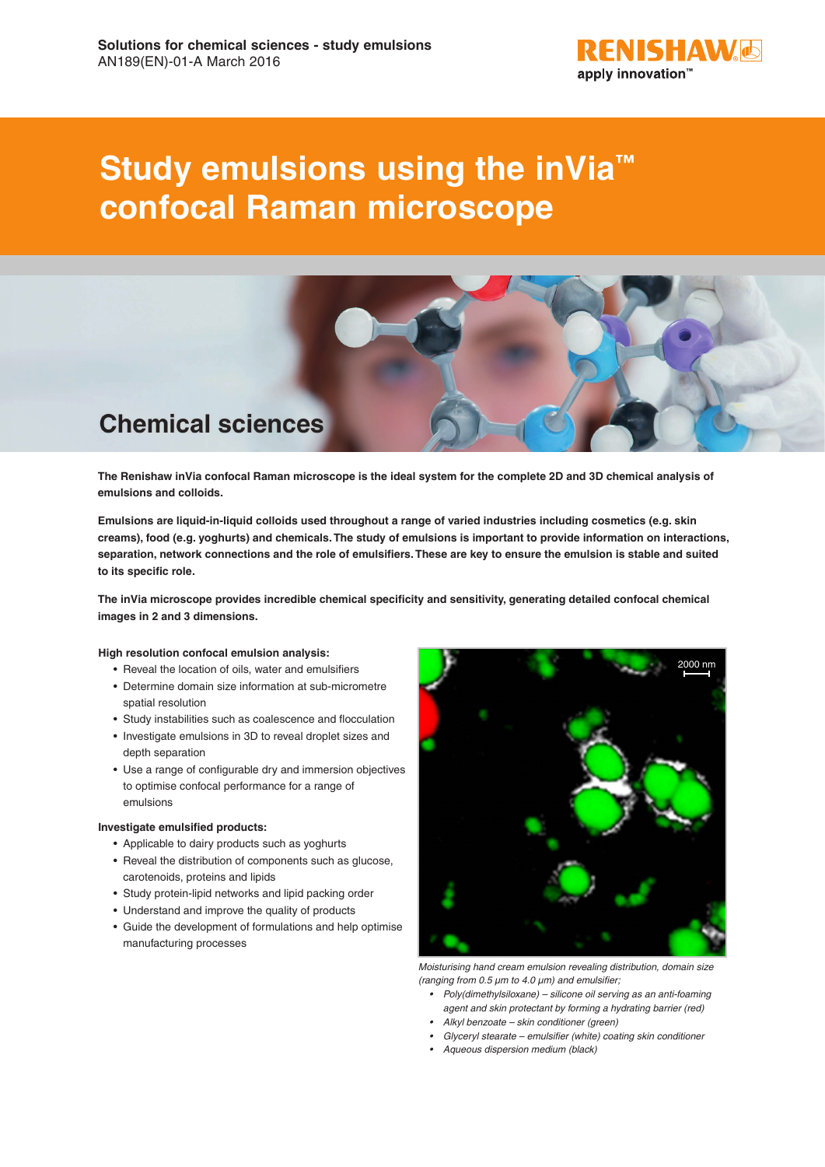

# **Study emulsions using the inVia™ confocal Raman microscope**



**The Renishaw inVia confocal Raman microscope is the ideal system for the complete 2D and 3D chemical analysis of emulsions and colloids.**

**Emulsions are liquid-in-liquid colloids used throughout a range of varied industries including cosmetics (e.g. skin creams), food (e.g. yoghurts) and chemicals. The study of emulsions is important to provide information on interactions, separation, network connections and the role of emulsifiers. These are key to ensure the emulsion is stable and suited to its specific role.**

**The inVia microscope provides incredible chemical specificity and sensitivity, generating detailed confocal chemical images in 2 and 3 dimensions.** 

## **High resolution confocal emulsion analysis:**

- Reveal the location of oils, water and emulsifiers
- Determine domain size information at sub-micrometre spatial resolution
- Study instabilities such as coalescence and flocculation
- Investigate emulsions in 3D to reveal droplet sizes and depth separation
- Use a range of configurable dry and immersion objectives to optimise confocal performance for a range of emulsions

# **Investigate emulsified products:**

- Applicable to dairy products such as yoghurts
- Reveal the distribution of components such as glucose, carotenoids, proteins and lipids
- Study protein-lipid networks and lipid packing order
- Understand and improve the quality of products
- Guide the development of formulations and help optimise manufacturing processes



*Moisturising hand cream emulsion revealing distribution, domain size (ranging from 0.5 µm to 4.0 µm) and emulsifier;*

- *• Poly(dimethylsiloxane) silicone oil serving as an anti-foaming agent and skin protectant by forming a hydrating barrier (red)*
- *• Alkyl benzoate skin conditioner (green)*
- *• Glyceryl stearate emulsifier (white) coating skin conditioner*
- *• Aqueous dispersion medium (black)*